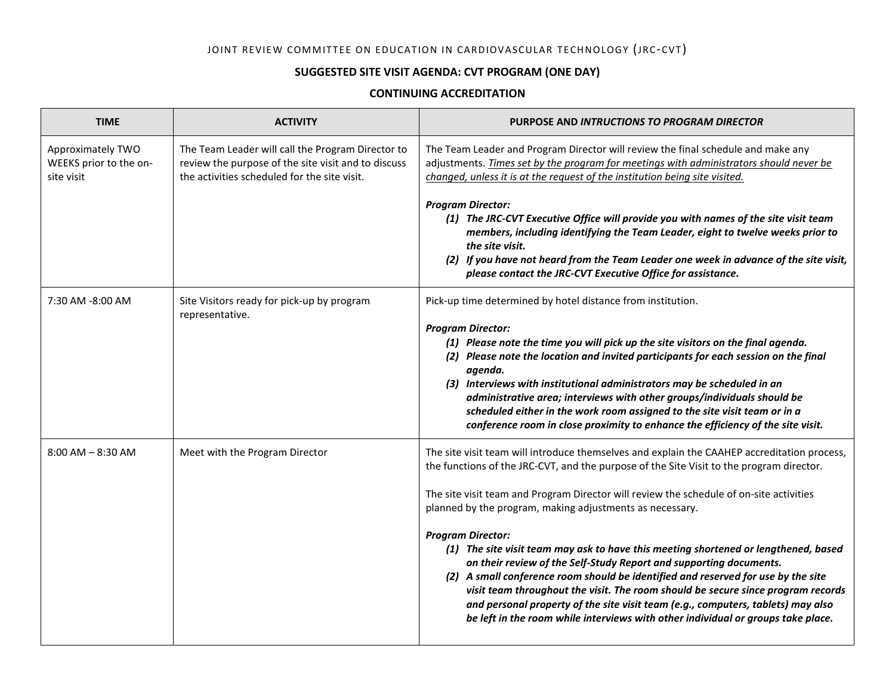## JOINT REVIEW COMMITTEE ON EDUCATION IN CARDIOVASCULAR TECHNOLOGY (JRC-CVT)

## **SUGGESTED SITE VISIT AGENDA: CVT PROGRAM (ONE DAY)**

## **CONTINUING ACCREDITATION**

| <b>TIME</b>                                               | <b>ACTIVITY</b>                                                                                                                                          | <b>PURPOSE AND INTRUCTIONS TO PROGRAM DIRECTOR</b>                                                                                                                                                                                                                                                                                                                                                                                                                                                                                                                                                                                                                                                                                                                                                                                                                                       |
|-----------------------------------------------------------|----------------------------------------------------------------------------------------------------------------------------------------------------------|------------------------------------------------------------------------------------------------------------------------------------------------------------------------------------------------------------------------------------------------------------------------------------------------------------------------------------------------------------------------------------------------------------------------------------------------------------------------------------------------------------------------------------------------------------------------------------------------------------------------------------------------------------------------------------------------------------------------------------------------------------------------------------------------------------------------------------------------------------------------------------------|
| Approximately TWO<br>WEEKS prior to the on-<br>site visit | The Team Leader will call the Program Director to<br>review the purpose of the site visit and to discuss<br>the activities scheduled for the site visit. | The Team Leader and Program Director will review the final schedule and make any<br>adjustments. Times set by the program for meetings with administrators should never be<br>changed, unless it is at the request of the institution being site visited.                                                                                                                                                                                                                                                                                                                                                                                                                                                                                                                                                                                                                                |
|                                                           |                                                                                                                                                          | <b>Program Director:</b><br>(1) The JRC-CVT Executive Office will provide you with names of the site visit team<br>members, including identifying the Team Leader, eight to twelve weeks prior to<br>the site visit.<br>(2) If you have not heard from the Team Leader one week in advance of the site visit,<br>please contact the JRC-CVT Executive Office for assistance.                                                                                                                                                                                                                                                                                                                                                                                                                                                                                                             |
| 7:30 AM -8:00 AM                                          | Site Visitors ready for pick-up by program<br>representative.                                                                                            | Pick-up time determined by hotel distance from institution.<br><b>Program Director:</b><br>(1) Please note the time you will pick up the site visitors on the final agenda.<br>(2) Please note the location and invited participants for each session on the final<br>agenda.<br>(3) Interviews with institutional administrators may be scheduled in an<br>administrative area; interviews with other groups/individuals should be<br>scheduled either in the work room assigned to the site visit team or in a<br>conference room in close proximity to enhance the efficiency of the site visit.                                                                                                                                                                                                                                                                                      |
| $8:00$ AM $- 8:30$ AM                                     | Meet with the Program Director                                                                                                                           | The site visit team will introduce themselves and explain the CAAHEP accreditation process,<br>the functions of the JRC-CVT, and the purpose of the Site Visit to the program director.<br>The site visit team and Program Director will review the schedule of on-site activities<br>planned by the program, making adjustments as necessary.<br><b>Program Director:</b><br>(1) The site visit team may ask to have this meeting shortened or lengthened, based<br>on their review of the Self-Study Report and supporting documents.<br>(2) A small conference room should be identified and reserved for use by the site<br>visit team throughout the visit. The room should be secure since program records<br>and personal property of the site visit team (e.g., computers, tablets) may also<br>be left in the room while interviews with other individual or groups take place. |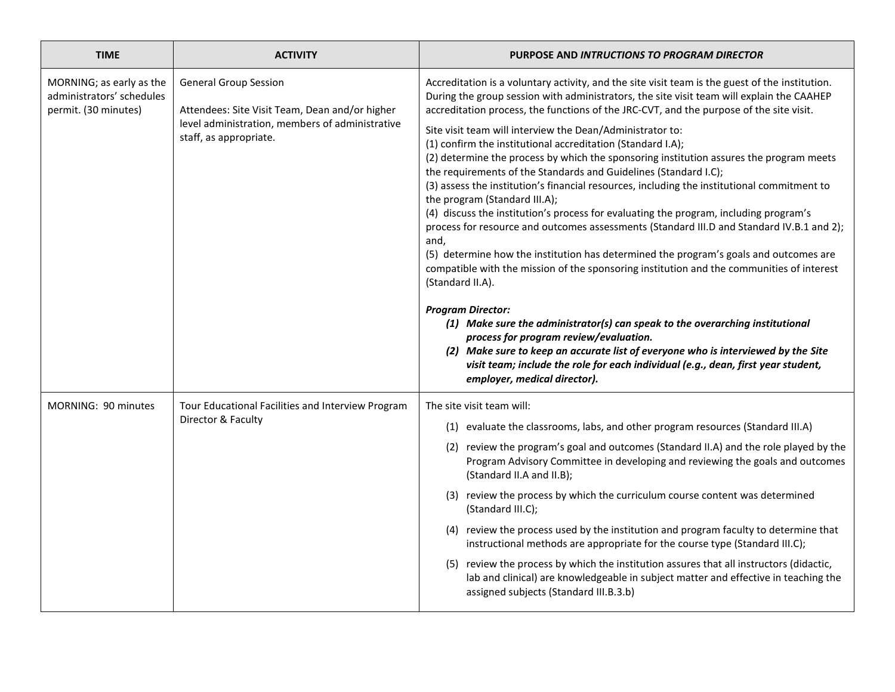| <b>TIME</b>                                                                   | <b>ACTIVITY</b>                                                                                                                                             | PURPOSE AND INTRUCTIONS TO PROGRAM DIRECTOR                                                                                                                                                                                                                                                                                                                                                                                                                                                                                                                                                                                                                                                                                                                                                                                                                                                                                                                                                                                                                                                                                                                                                                                                                                                                                                                                                                                                                                                 |
|-------------------------------------------------------------------------------|-------------------------------------------------------------------------------------------------------------------------------------------------------------|---------------------------------------------------------------------------------------------------------------------------------------------------------------------------------------------------------------------------------------------------------------------------------------------------------------------------------------------------------------------------------------------------------------------------------------------------------------------------------------------------------------------------------------------------------------------------------------------------------------------------------------------------------------------------------------------------------------------------------------------------------------------------------------------------------------------------------------------------------------------------------------------------------------------------------------------------------------------------------------------------------------------------------------------------------------------------------------------------------------------------------------------------------------------------------------------------------------------------------------------------------------------------------------------------------------------------------------------------------------------------------------------------------------------------------------------------------------------------------------------|
| MORNING; as early as the<br>administrators' schedules<br>permit. (30 minutes) | <b>General Group Session</b><br>Attendees: Site Visit Team, Dean and/or higher<br>level administration, members of administrative<br>staff, as appropriate. | Accreditation is a voluntary activity, and the site visit team is the guest of the institution.<br>During the group session with administrators, the site visit team will explain the CAAHEP<br>accreditation process, the functions of the JRC-CVT, and the purpose of the site visit.<br>Site visit team will interview the Dean/Administrator to:<br>(1) confirm the institutional accreditation (Standard I.A);<br>(2) determine the process by which the sponsoring institution assures the program meets<br>the requirements of the Standards and Guidelines (Standard I.C);<br>(3) assess the institution's financial resources, including the institutional commitment to<br>the program (Standard III.A);<br>(4) discuss the institution's process for evaluating the program, including program's<br>process for resource and outcomes assessments (Standard III.D and Standard IV.B.1 and 2);<br>and,<br>(5) determine how the institution has determined the program's goals and outcomes are<br>compatible with the mission of the sponsoring institution and the communities of interest<br>(Standard II.A).<br><b>Program Director:</b><br>(1) Make sure the administrator(s) can speak to the overarching institutional<br>process for program review/evaluation.<br>(2) Make sure to keep an accurate list of everyone who is interviewed by the Site<br>visit team; include the role for each individual (e.g., dean, first year student,<br>employer, medical director). |
| MORNING: 90 minutes                                                           | Tour Educational Facilities and Interview Program<br>Director & Faculty                                                                                     | The site visit team will:<br>(1) evaluate the classrooms, labs, and other program resources (Standard III.A)<br>(2) review the program's goal and outcomes (Standard II.A) and the role played by the<br>Program Advisory Committee in developing and reviewing the goals and outcomes<br>(Standard II.A and II.B);<br>(3) review the process by which the curriculum course content was determined<br>(Standard III.C);<br>(4) review the process used by the institution and program faculty to determine that<br>instructional methods are appropriate for the course type (Standard III.C);<br>(5) review the process by which the institution assures that all instructors (didactic,<br>lab and clinical) are knowledgeable in subject matter and effective in teaching the<br>assigned subjects (Standard III.B.3.b)                                                                                                                                                                                                                                                                                                                                                                                                                                                                                                                                                                                                                                                                 |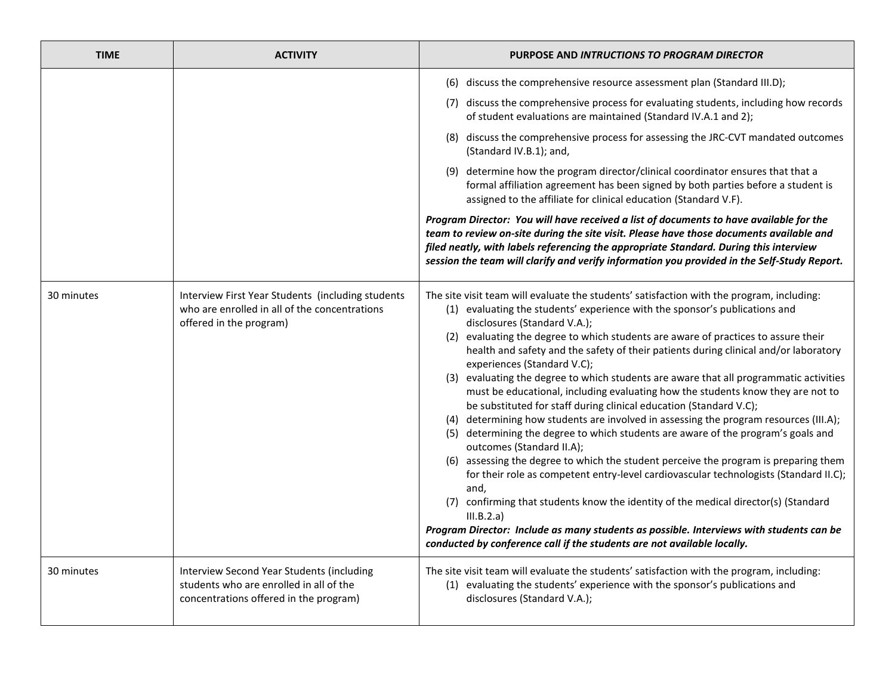| <b>TIME</b> | <b>ACTIVITY</b>                                                                                                                | PURPOSE AND INTRUCTIONS TO PROGRAM DIRECTOR                                                                                                                                                                                                                                                                                                                                                                                                                                                                                                                                                                                                                                                                                                                                                                                                                                                                                                                                                                                                                                                                                                                                                                                                                                                                                                             |
|-------------|--------------------------------------------------------------------------------------------------------------------------------|---------------------------------------------------------------------------------------------------------------------------------------------------------------------------------------------------------------------------------------------------------------------------------------------------------------------------------------------------------------------------------------------------------------------------------------------------------------------------------------------------------------------------------------------------------------------------------------------------------------------------------------------------------------------------------------------------------------------------------------------------------------------------------------------------------------------------------------------------------------------------------------------------------------------------------------------------------------------------------------------------------------------------------------------------------------------------------------------------------------------------------------------------------------------------------------------------------------------------------------------------------------------------------------------------------------------------------------------------------|
|             |                                                                                                                                | (6) discuss the comprehensive resource assessment plan (Standard III.D);<br>(7) discuss the comprehensive process for evaluating students, including how records<br>of student evaluations are maintained (Standard IV.A.1 and 2);<br>(8) discuss the comprehensive process for assessing the JRC-CVT mandated outcomes<br>(Standard IV.B.1); and,<br>(9) determine how the program director/clinical coordinator ensures that that a<br>formal affiliation agreement has been signed by both parties before a student is<br>assigned to the affiliate for clinical education (Standard V.F).<br>Program Director: You will have received a list of documents to have available for the<br>team to review on-site during the site visit. Please have those documents available and<br>filed neatly, with labels referencing the appropriate Standard. During this interview<br>session the team will clarify and verify information you provided in the Self-Study Report.                                                                                                                                                                                                                                                                                                                                                                              |
| 30 minutes  | Interview First Year Students (including students<br>who are enrolled in all of the concentrations<br>offered in the program)  | The site visit team will evaluate the students' satisfaction with the program, including:<br>(1) evaluating the students' experience with the sponsor's publications and<br>disclosures (Standard V.A.);<br>(2) evaluating the degree to which students are aware of practices to assure their<br>health and safety and the safety of their patients during clinical and/or laboratory<br>experiences (Standard V.C);<br>(3) evaluating the degree to which students are aware that all programmatic activities<br>must be educational, including evaluating how the students know they are not to<br>be substituted for staff during clinical education (Standard V.C);<br>(4) determining how students are involved in assessing the program resources (III.A);<br>(5) determining the degree to which students are aware of the program's goals and<br>outcomes (Standard II.A);<br>(6) assessing the degree to which the student perceive the program is preparing them<br>for their role as competent entry-level cardiovascular technologists (Standard II.C);<br>and,<br>(7) confirming that students know the identity of the medical director(s) (Standard<br>III.B.2.a)<br>Program Director: Include as many students as possible. Interviews with students can be<br>conducted by conference call if the students are not available locally. |
| 30 minutes  | Interview Second Year Students (including<br>students who are enrolled in all of the<br>concentrations offered in the program) | The site visit team will evaluate the students' satisfaction with the program, including:<br>(1) evaluating the students' experience with the sponsor's publications and<br>disclosures (Standard V.A.);                                                                                                                                                                                                                                                                                                                                                                                                                                                                                                                                                                                                                                                                                                                                                                                                                                                                                                                                                                                                                                                                                                                                                |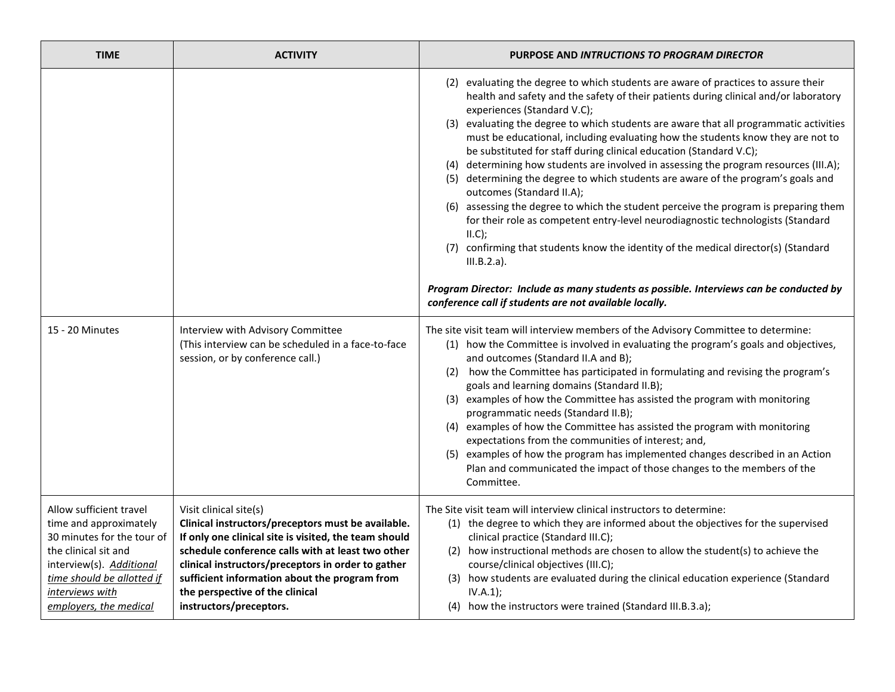| <b>TIME</b>                                                                                                                                                                                                    | <b>ACTIVITY</b>                                                                                                                                                                                                                                                                                                                                                 | PURPOSE AND INTRUCTIONS TO PROGRAM DIRECTOR                                                                                                                                                                                                                                                                                                                                                                                                                                                                                                                                                                                                                                                                                                                                                                                                                                                                                                                                                                                                                                                                                                                                                                                                                                                                                                                                                                                                                                                                                                                                                                                                                                                                                                                                                                                                                                                                |
|----------------------------------------------------------------------------------------------------------------------------------------------------------------------------------------------------------------|-----------------------------------------------------------------------------------------------------------------------------------------------------------------------------------------------------------------------------------------------------------------------------------------------------------------------------------------------------------------|------------------------------------------------------------------------------------------------------------------------------------------------------------------------------------------------------------------------------------------------------------------------------------------------------------------------------------------------------------------------------------------------------------------------------------------------------------------------------------------------------------------------------------------------------------------------------------------------------------------------------------------------------------------------------------------------------------------------------------------------------------------------------------------------------------------------------------------------------------------------------------------------------------------------------------------------------------------------------------------------------------------------------------------------------------------------------------------------------------------------------------------------------------------------------------------------------------------------------------------------------------------------------------------------------------------------------------------------------------------------------------------------------------------------------------------------------------------------------------------------------------------------------------------------------------------------------------------------------------------------------------------------------------------------------------------------------------------------------------------------------------------------------------------------------------------------------------------------------------------------------------------------------------|
| 15 - 20 Minutes                                                                                                                                                                                                | Interview with Advisory Committee<br>(This interview can be scheduled in a face-to-face<br>session, or by conference call.)                                                                                                                                                                                                                                     | (2) evaluating the degree to which students are aware of practices to assure their<br>health and safety and the safety of their patients during clinical and/or laboratory<br>experiences (Standard V.C);<br>(3) evaluating the degree to which students are aware that all programmatic activities<br>must be educational, including evaluating how the students know they are not to<br>be substituted for staff during clinical education (Standard V.C);<br>(4) determining how students are involved in assessing the program resources (III.A);<br>(5) determining the degree to which students are aware of the program's goals and<br>outcomes (Standard II.A);<br>(6) assessing the degree to which the student perceive the program is preparing them<br>for their role as competent entry-level neurodiagnostic technologists (Standard<br>II.C);<br>(7) confirming that students know the identity of the medical director(s) (Standard<br>$III.B.2.a$ ).<br>Program Director: Include as many students as possible. Interviews can be conducted by<br>conference call if students are not available locally.<br>The site visit team will interview members of the Advisory Committee to determine:<br>(1) how the Committee is involved in evaluating the program's goals and objectives,<br>and outcomes (Standard II.A and B);<br>(2) how the Committee has participated in formulating and revising the program's<br>goals and learning domains (Standard II.B);<br>(3) examples of how the Committee has assisted the program with monitoring<br>programmatic needs (Standard II.B);<br>(4) examples of how the Committee has assisted the program with monitoring<br>expectations from the communities of interest; and,<br>examples of how the program has implemented changes described in an Action<br>(5)<br>Plan and communicated the impact of those changes to the members of the |
|                                                                                                                                                                                                                |                                                                                                                                                                                                                                                                                                                                                                 | Committee.                                                                                                                                                                                                                                                                                                                                                                                                                                                                                                                                                                                                                                                                                                                                                                                                                                                                                                                                                                                                                                                                                                                                                                                                                                                                                                                                                                                                                                                                                                                                                                                                                                                                                                                                                                                                                                                                                                 |
| Allow sufficient travel<br>time and approximately<br>30 minutes for the tour of<br>the clinical sit and<br>interview(s). Additional<br>time should be allotted if<br>interviews with<br>employers, the medical | Visit clinical site(s)<br>Clinical instructors/preceptors must be available.<br>If only one clinical site is visited, the team should<br>schedule conference calls with at least two other<br>clinical instructors/preceptors in order to gather<br>sufficient information about the program from<br>the perspective of the clinical<br>instructors/preceptors. | The Site visit team will interview clinical instructors to determine:<br>(1) the degree to which they are informed about the objectives for the supervised<br>clinical practice (Standard III.C);<br>(2) how instructional methods are chosen to allow the student(s) to achieve the<br>course/clinical objectives (III.C);<br>(3) how students are evaluated during the clinical education experience (Standard<br>IV.A.1);<br>(4) how the instructors were trained (Standard III.B.3.a);                                                                                                                                                                                                                                                                                                                                                                                                                                                                                                                                                                                                                                                                                                                                                                                                                                                                                                                                                                                                                                                                                                                                                                                                                                                                                                                                                                                                                 |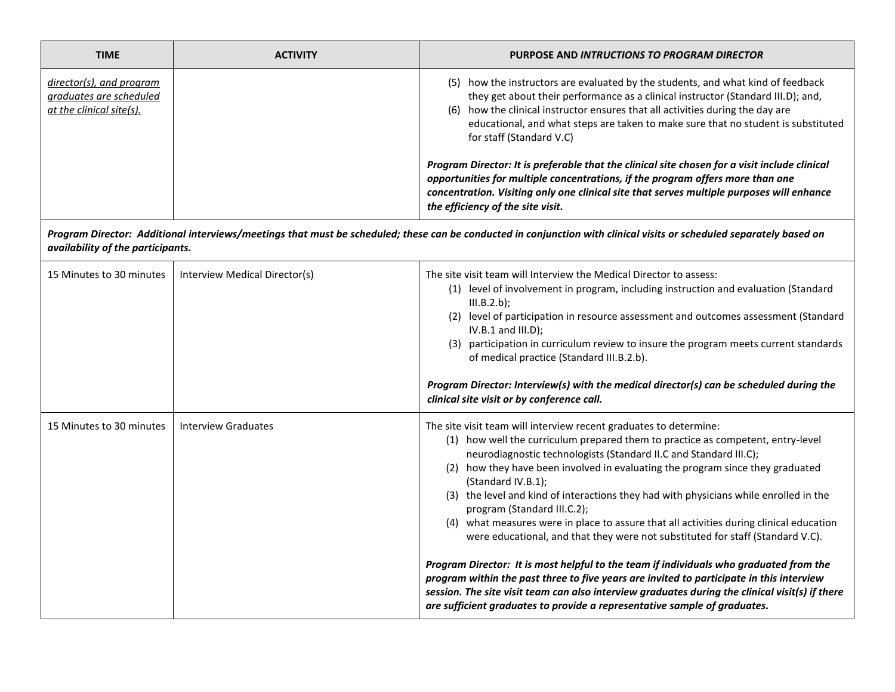| <b>TIME</b>                                                                     | <b>ACTIVITY</b>               | PURPOSE AND INTRUCTIONS TO PROGRAM DIRECTOR                                                                                                                                                                                                                                                                                                                                                                                                                                                                                                                                                                                            |
|---------------------------------------------------------------------------------|-------------------------------|----------------------------------------------------------------------------------------------------------------------------------------------------------------------------------------------------------------------------------------------------------------------------------------------------------------------------------------------------------------------------------------------------------------------------------------------------------------------------------------------------------------------------------------------------------------------------------------------------------------------------------------|
| director(s), and program<br>graduates are scheduled<br>at the clinical site(s). |                               | (5) how the instructors are evaluated by the students, and what kind of feedback<br>they get about their performance as a clinical instructor (Standard III.D); and,<br>(6) how the clinical instructor ensures that all activities during the day are<br>educational, and what steps are taken to make sure that no student is substituted<br>for staff (Standard V.C)<br>Program Director: It is preferable that the clinical site chosen for a visit include clinical<br>opportunities for multiple concentrations, if the program offers more than one                                                                             |
|                                                                                 |                               | concentration. Visiting only one clinical site that serves multiple purposes will enhance<br>the efficiency of the site visit.                                                                                                                                                                                                                                                                                                                                                                                                                                                                                                         |
| availability of the participants.                                               |                               | Program Director: Additional interviews/meetings that must be scheduled; these can be conducted in conjunction with clinical visits or scheduled separately based on                                                                                                                                                                                                                                                                                                                                                                                                                                                                   |
| 15 Minutes to 30 minutes                                                        | Interview Medical Director(s) | The site visit team will Interview the Medical Director to assess:<br>(1) level of involvement in program, including instruction and evaluation (Standard<br>III.B.2.b);<br>(2) level of participation in resource assessment and outcomes assessment (Standard<br>$IV.B.1$ and $III.D$ );<br>(3) participation in curriculum review to insure the program meets current standards<br>of medical practice (Standard III.B.2.b).<br>Program Director: Interview(s) with the medical director(s) can be scheduled during the                                                                                                             |
|                                                                                 |                               | clinical site visit or by conference call.                                                                                                                                                                                                                                                                                                                                                                                                                                                                                                                                                                                             |
| 15 Minutes to 30 minutes                                                        | <b>Interview Graduates</b>    | The site visit team will interview recent graduates to determine:<br>(1) how well the curriculum prepared them to practice as competent, entry-level<br>neurodiagnostic technologists (Standard II.C and Standard III.C);<br>(2) how they have been involved in evaluating the program since they graduated<br>(Standard IV.B.1);<br>(3) the level and kind of interactions they had with physicians while enrolled in the<br>program (Standard III.C.2);<br>(4) what measures were in place to assure that all activities during clinical education<br>were educational, and that they were not substituted for staff (Standard V.C). |
|                                                                                 |                               | Program Director: It is most helpful to the team if individuals who graduated from the<br>program within the past three to five years are invited to participate in this interview<br>session. The site visit team can also interview graduates during the clinical visit(s) if there<br>are sufficient graduates to provide a representative sample of graduates.                                                                                                                                                                                                                                                                     |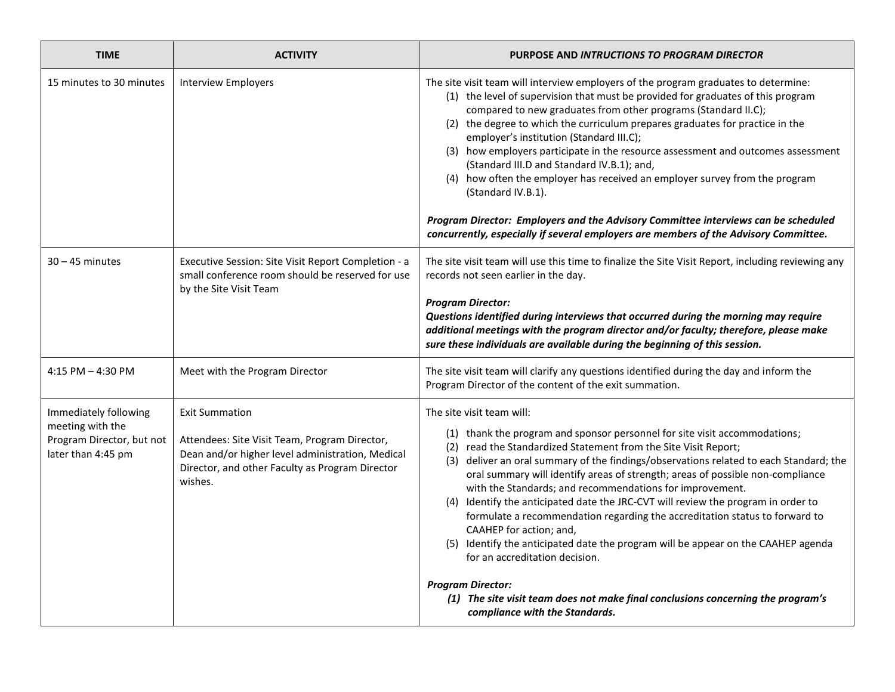| <b>Interview Employers</b>                                                                                                                                                               | The site visit team will interview employers of the program graduates to determine:<br>(1) the level of supervision that must be provided for graduates of this program                                                                                                                                                                                                                                                                                                                                                                                                                                                                                                                                                                                                                                                                                  |
|------------------------------------------------------------------------------------------------------------------------------------------------------------------------------------------|----------------------------------------------------------------------------------------------------------------------------------------------------------------------------------------------------------------------------------------------------------------------------------------------------------------------------------------------------------------------------------------------------------------------------------------------------------------------------------------------------------------------------------------------------------------------------------------------------------------------------------------------------------------------------------------------------------------------------------------------------------------------------------------------------------------------------------------------------------|
|                                                                                                                                                                                          | compared to new graduates from other programs (Standard II.C);<br>(2) the degree to which the curriculum prepares graduates for practice in the<br>employer's institution (Standard III.C);<br>(3) how employers participate in the resource assessment and outcomes assessment<br>(Standard III.D and Standard IV.B.1); and,<br>(4) how often the employer has received an employer survey from the program<br>(Standard IV.B.1).<br>Program Director: Employers and the Advisory Committee interviews can be scheduled<br>concurrently, especially if several employers are members of the Advisory Committee.                                                                                                                                                                                                                                         |
| Executive Session: Site Visit Report Completion - a<br>small conference room should be reserved for use<br>by the Site Visit Team                                                        | The site visit team will use this time to finalize the Site Visit Report, including reviewing any<br>records not seen earlier in the day.<br><b>Program Director:</b><br>Questions identified during interviews that occurred during the morning may require<br>additional meetings with the program director and/or faculty; therefore, please make<br>sure these individuals are available during the beginning of this session.                                                                                                                                                                                                                                                                                                                                                                                                                       |
| Meet with the Program Director                                                                                                                                                           | The site visit team will clarify any questions identified during the day and inform the<br>Program Director of the content of the exit summation.                                                                                                                                                                                                                                                                                                                                                                                                                                                                                                                                                                                                                                                                                                        |
| <b>Exit Summation</b><br>Attendees: Site Visit Team, Program Director,<br>Dean and/or higher level administration, Medical<br>Director, and other Faculty as Program Director<br>wishes. | The site visit team will:<br>(1) thank the program and sponsor personnel for site visit accommodations;<br>(2) read the Standardized Statement from the Site Visit Report;<br>(3) deliver an oral summary of the findings/observations related to each Standard; the<br>oral summary will identify areas of strength; areas of possible non-compliance<br>with the Standards; and recommendations for improvement.<br>(4) Identify the anticipated date the JRC-CVT will review the program in order to<br>formulate a recommendation regarding the accreditation status to forward to<br>CAAHEP for action; and,<br>(5) Identify the anticipated date the program will be appear on the CAAHEP agenda<br>for an accreditation decision.<br><b>Program Director:</b><br>(1) The site visit team does not make final conclusions concerning the program's |
|                                                                                                                                                                                          |                                                                                                                                                                                                                                                                                                                                                                                                                                                                                                                                                                                                                                                                                                                                                                                                                                                          |